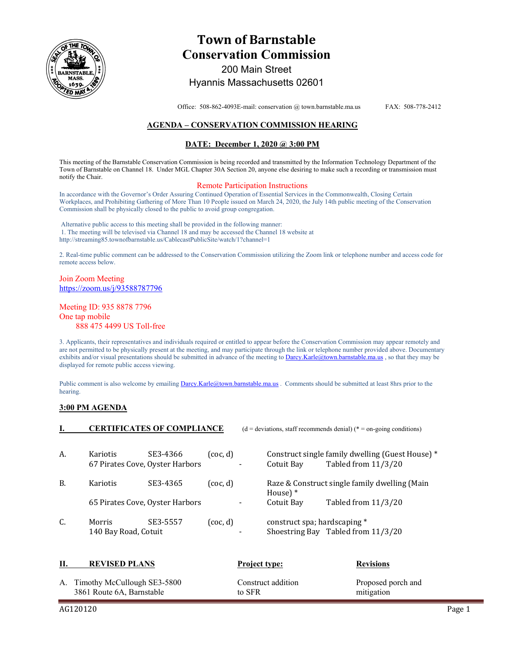

# **Town of Barnstable Conservation Commission**  200 Main Street

# Hyannis Massachusetts 02601

Office: 508-862-4093E-mail: conservation @ town.barnstable.ma.us FAX: 508-778-2412

## **AGENDA – CONSERVATION COMMISSION HEARING**

### **DATE: December 1, 2020 @ 3:00 PM**

This meeting of the Barnstable Conservation Commission is being recorded and transmitted by the Information Technology Department of the Town of Barnstable on Channel 18. Under MGL Chapter 30A Section 20, anyone else desiring to make such a recording or transmission must notify the Chair.

#### Remote Participation Instructions

In accordance with the Governor's Order Assuring Continued Operation of Essential Services in the Commonwealth, Closing Certain Workplaces, and Prohibiting Gathering of More Than 10 People issued on March 24, 2020, the July 14th public meeting of the Conservation Commission shall be physically closed to the public to avoid group congregation.

 Alternative public access to this meeting shall be provided in the following manner: 1. The meeting will be televised via Channel 18 and may be accessed the Channel 18 website at http://streaming85.townofbarnstable.us/CablecastPublicSite/watch/1?channel=1

2. Real-time public comment can be addressed to the Conservation Commission utilizing the Zoom link or telephone number and access code for remote access below.

Join Zoom Meeting https://zoom.us/j/93588787796

Meeting ID: 935 8878 7796 One tap mobile 888 475 4499 US Toll-free

3. Applicants, their representatives and individuals required or entitled to appear before the Conservation Commission may appear remotely and are not permitted to be physically present at the meeting, and may participate through the link or telephone number provided above. Documentary exhibits and/or visual presentations should be submitted in advance of the meeting to Darcy.Karle@town.barnstable.ma.us, so that they may be displayed for remote public access viewing.

Public comment is also welcome by emailing Darcy.Karle@town.barnstable.ma.us . Comments should be submitted at least 8hrs prior to the hearing.

**IEDENICATES OF COMPLIANCE** (d = deviations) (\* december recommends of the conditions) (\* + on-going conditions)

### **3:00 PM AGENDA**

|           |                                             | <b>CERTIFICATES OF COMPLIANCE</b> |          |                          |                                                              | $(d = deviations, start recommends demand)$ (* = on-going conditions)   |
|-----------|---------------------------------------------|-----------------------------------|----------|--------------------------|--------------------------------------------------------------|-------------------------------------------------------------------------|
| A.        | Kariotis<br>67 Pirates Cove, Oyster Harbors | SE3-4366                          | (coc. d) |                          | Cotuit Bay                                                   | Construct single family dwelling (Guest House) *<br>Tabled from 11/3/20 |
| <b>B.</b> | <b>Kariotis</b>                             | SE3-4365                          | (coc. d) |                          | Raze & Construct single family dwelling (Main<br>House $)$ * |                                                                         |
|           | 65 Pirates Cove, Oyster Harbors             |                                   |          |                          | Cotuit Bay                                                   | Tabled from 11/3/20                                                     |
| C.        | Morris<br>140 Bay Road, Cotuit              | SE3-5557                          | (coc. d) | $\overline{\phantom{0}}$ | construct spa; hardscaping *                                 | Shoestring Bay Tabled from 11/3/20                                      |

| П. | <b>REVISED PLANS</b>           | <b>Project type:</b> | <b>Revisions</b>   |
|----|--------------------------------|----------------------|--------------------|
|    | A. Timothy McCullough SE3-5800 | Construct addition   | Proposed porch and |
|    | 3861 Route 6A, Barnstable      | to SFR               | mitigation         |